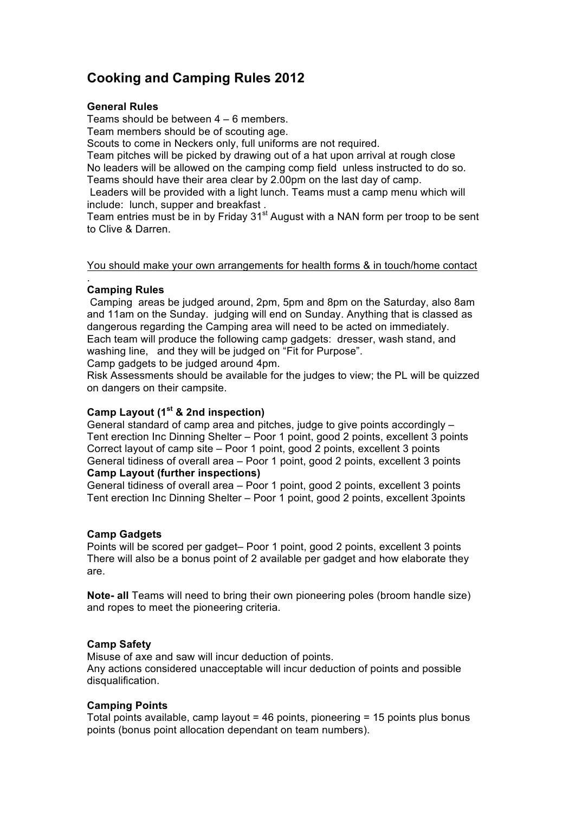# **Cooking and Camping Rules 2012**

#### **General Rules**

Teams should be between 4 – 6 members.

Team members should be of scouting age.

Scouts to come in Neckers only, full uniforms are not required.

Team pitches will be picked by drawing out of a hat upon arrival at rough close No leaders will be allowed on the camping comp field unless instructed to do so. Teams should have their area clear by 2.00pm on the last day of camp.

 Leaders will be provided with a light lunch. Teams must a camp menu which will include: lunch, supper and breakfast .

Team entries must be in by Friday  $31<sup>st</sup>$  August with a NAN form per troop to be sent to Clive & Darren.

You should make your own arrangements for health forms & in touch/home contact

#### . **Camping Rules**

 Camping areas be judged around, 2pm, 5pm and 8pm on the Saturday, also 8am and 11am on the Sunday. judging will end on Sunday. Anything that is classed as dangerous regarding the Camping area will need to be acted on immediately. Each team will produce the following camp gadgets: dresser, wash stand, and washing line, and they will be judged on "Fit for Purpose".

Camp gadgets to be judged around 4pm.

Risk Assessments should be available for the judges to view; the PL will be quizzed on dangers on their campsite.

## **Camp Layout (1st & 2nd inspection)**

General standard of camp area and pitches, judge to give points accordingly – Tent erection Inc Dinning Shelter – Poor 1 point, good 2 points, excellent 3 points Correct layout of camp site – Poor 1 point, good 2 points, excellent 3 points General tidiness of overall area – Poor 1 point, good 2 points, excellent 3 points **Camp Layout (further inspections)**

General tidiness of overall area – Poor 1 point, good 2 points, excellent 3 points Tent erection Inc Dinning Shelter – Poor 1 point, good 2 points, excellent 3points

### **Camp Gadgets**

Points will be scored per gadget– Poor 1 point, good 2 points, excellent 3 points There will also be a bonus point of 2 available per gadget and how elaborate they are.

**Note- all** Teams will need to bring their own pioneering poles (broom handle size) and ropes to meet the pioneering criteria.

### **Camp Safety**

Misuse of axe and saw will incur deduction of points. Any actions considered unacceptable will incur deduction of points and possible disqualification.

### **Camping Points**

Total points available, camp layout = 46 points, pioneering = 15 points plus bonus points (bonus point allocation dependant on team numbers).